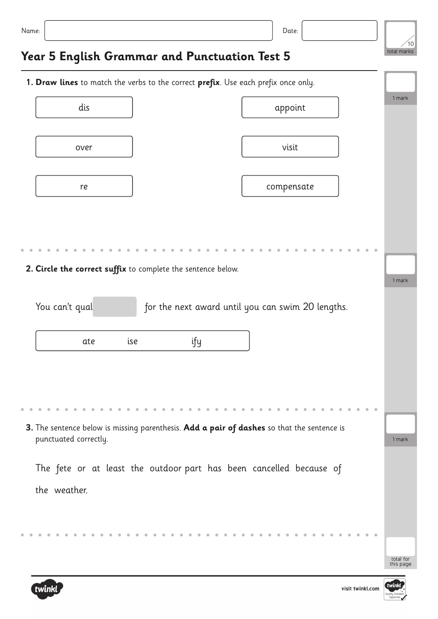| Name:                                                                                      |            |     | Date:                                                               |  |                   |
|--------------------------------------------------------------------------------------------|------------|-----|---------------------------------------------------------------------|--|-------------------|
| Year 5 English Grammar and Punctuation Test 5                                              |            |     |                                                                     |  | 10<br>total marks |
| 1. Draw lines to match the verbs to the correct prefix. Use each prefix once only.         |            |     |                                                                     |  |                   |
| dis                                                                                        |            |     | appoint                                                             |  | 1 mark            |
| over                                                                                       |            |     | visit                                                               |  |                   |
| re                                                                                         |            |     | compensate                                                          |  |                   |
|                                                                                            |            |     |                                                                     |  |                   |
|                                                                                            |            |     |                                                                     |  |                   |
| 2. Circle the correct suffix to complete the sentence below.                               |            |     |                                                                     |  | 1 mark            |
| You can't qual                                                                             |            |     | for the next award until you can swim 20 lengths.                   |  |                   |
|                                                                                            | ise<br>ate | ify |                                                                     |  |                   |
|                                                                                            |            |     |                                                                     |  |                   |
|                                                                                            |            |     |                                                                     |  |                   |
| 3. The sentence below is missing parenthesis. Add a pair of dashes so that the sentence is |            |     |                                                                     |  |                   |
| punctuated correctly.                                                                      |            |     |                                                                     |  | 1 mark            |
|                                                                                            |            |     | The fete or at least the outdoor part has been cancelled because of |  |                   |
| the weather.                                                                               |            |     |                                                                     |  |                   |
|                                                                                            |            |     |                                                                     |  |                   |
|                                                                                            |            |     |                                                                     |  |                   |



total for this page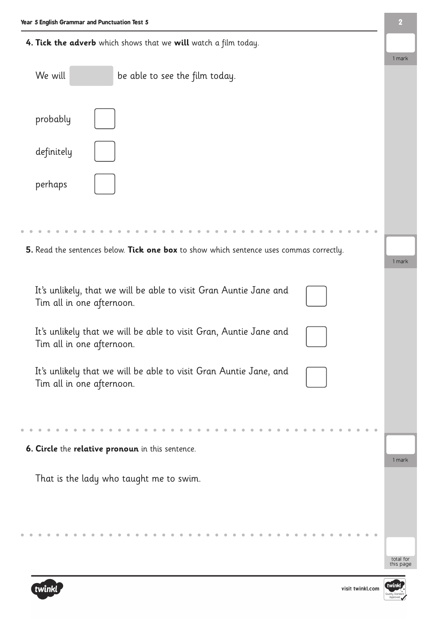**4. Tick the adverb** which shows that we **will** watch a film today.

|                                                                                                | 1 mark                 |
|------------------------------------------------------------------------------------------------|------------------------|
| We will<br>be able to see the film today.                                                      |                        |
| probably                                                                                       |                        |
| definitely                                                                                     |                        |
| perhaps                                                                                        |                        |
|                                                                                                |                        |
| 5. Read the sentences below. Tick one box to show which sentence uses commas correctly.        | 1 mark                 |
| It's unlikely, that we will be able to visit Gran Auntie Jane and<br>Tim all in one afternoon. |                        |
| It's unlikely that we will be able to visit Gran, Auntie Jane and<br>Tim all in one afternoon. |                        |
| It's unlikely that we will be able to visit Gran Auntie Jane, and<br>Tim all in one afternoon. |                        |
|                                                                                                |                        |
| 6. Circle the relative pronoun in this sentence.                                               | 1 mark                 |
| That is the lady who taught me to swim.                                                        |                        |
|                                                                                                | total for<br>this page |



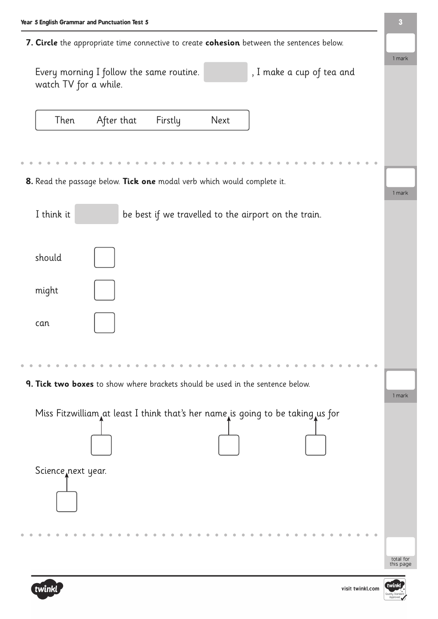**7. Circle** the appropriate time connective to create **cohesion** between the sentences below.

| Every morning I follow the same routine.<br>watch TV for a while. |      |                    |  |      | , I make a cup of tea and |  |
|-------------------------------------------------------------------|------|--------------------|--|------|---------------------------|--|
|                                                                   | Then | After that Firstly |  | Next |                           |  |

**8.** Read the passage below. **Tick one** modal verb which would complete it.

|                                                                                | 1 mark                 |
|--------------------------------------------------------------------------------|------------------------|
| I think it<br>be best if we travelled to the airport on the train.             |                        |
| should                                                                         |                        |
| might                                                                          |                        |
| can                                                                            |                        |
|                                                                                |                        |
| 9. Tick two boxes to show where brackets should be used in the sentence below. | 1 mark                 |
| Miss Fitzwilliam at least I think that's her name is going to be taking us for |                        |
| Science next year.                                                             |                        |
|                                                                                | total for<br>this page |



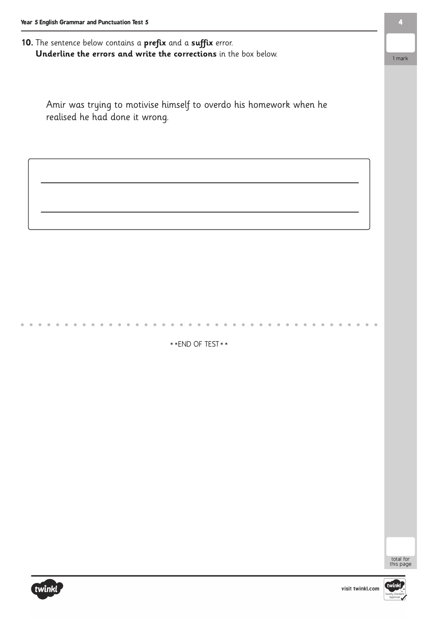## **10.** The sentence below contains a **prefix** and a **suffix** error. **Underline the errors and write the corrections** in the box below.

Amir was trying to motivise himself to overdo his homework when he realised he had done it wrong.

\*\*END OF TEST\*\*





visit twinkl.com

**4**